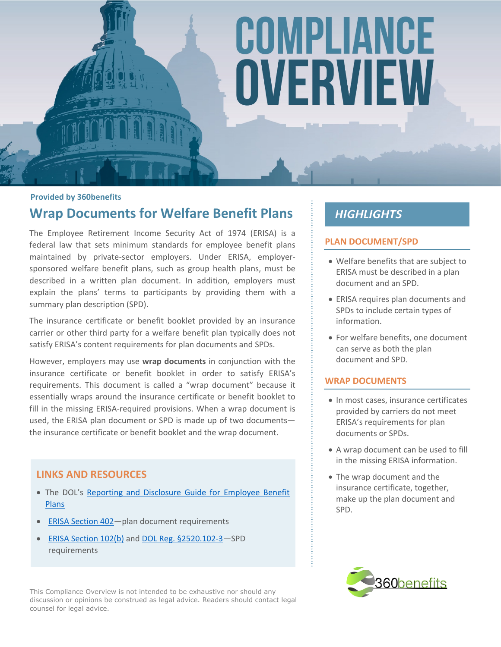# COMPLIANCE OVERVIEW

#### **Provided by 360benefits**

# **Wrap Documents for Welfare Benefit Plans**

The Employee Retirement Income Security Act of 1974 (ERISA) is a federal law that sets minimum standards for employee benefit plans maintained by private-sector employers. Under ERISA, employersponsored welfare benefit plans, such as group health plans, must be described in a written plan document. In addition, employers must explain the plans' terms to participants by providing them with a summary plan description (SPD).

The insurance certificate or benefit booklet provided by an insurance carrier or other third party for a welfare benefit plan typically does not satisfy ERISA's content requirements for plan documents and SPDs.

However, employers may use **wrap documents** in conjunction with the insurance certificate or benefit booklet in order to satisfy ERISA's requirements. This document is called a "wrap document" because it essentially wraps around the insurance certificate or benefit booklet to fill in the missing ERISA-required provisions. When a wrap document is used, the ERISA plan document or SPD is made up of two documents the insurance certificate or benefit booklet and the wrap document.

## **LINKS AND RESOURCES**

- The DOL's [Reporting and Disclosure Guide for Employee Benefit](https://www.dol.gov/sites/default/files/ebsa/about-ebsa/our-activities/resource-center/publications/reporting-and-disclosure-guide-for-employee-benefit-plans.pdf)  [Plans](https://www.dol.gov/sites/default/files/ebsa/about-ebsa/our-activities/resource-center/publications/reporting-and-disclosure-guide-for-employee-benefit-plans.pdf)
- [ERISA Section 402](https://www.law.cornell.edu/uscode/text/29/1102)-plan document requirements
- [ERISA Section 102\(b\)](https://www.law.cornell.edu/uscode/text/29/1022) and DOL Reg. §2520.102-3-SPD requirements

This Compliance Overview is not intended to be exhaustive nor should any discussion or opinions be construed as legal advice. Readers should contact legal counsel for legal advice.

# **HIGHLIGHTS**

## **PLAN DOCUMENT/SPD**

- Welfare benefits that are subject to ERISA must be described in a plan document and an SPD.
- ERISA requires plan documents and SPDs to include certain types of information.
- For welfare benefits, one document can serve as both the plan document and SPD.

## **WRAP DOCUMENTS**

- In most cases, insurance certificates provided by carriers do not meet ERISA's requirements for plan documents or SPDs.
- A wrap document can be used to fill in the missing ERISA information.
- The wrap document and the insurance certificate, together, make up the plan document and SPD.

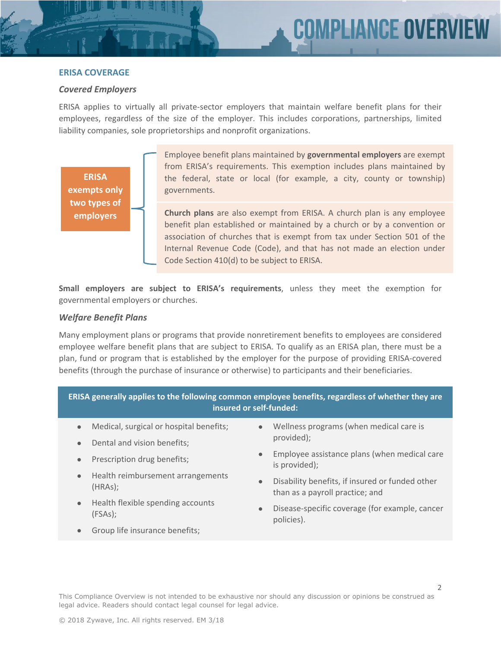#### **ERISA COVERAGE**

#### *Covered Employers*

ERISA applies to virtually all private-sector employers that maintain welfare benefit plans for their employees, regardless of the size of the employer. This includes corporations, partnerships, limited liability companies, sole proprietorships and nonprofit organizations.

**ERISA exempts only two types of employers**

Employee benefit plans maintained by **governmental employers** are exempt from ERISA's requirements. This exemption includes plans maintained by the federal, state or local (for example, a city, county or township) governments.

**Church plans** are also exempt from ERISA. A church plan is any employee benefit plan established or maintained by a church or by a convention or association of churches that is exempt from tax under Section 501 of the Internal Revenue Code (Code), and that has not made an election under Code Section 410(d) to be subject to ERISA.

**Small employers are subject to ERISA's requirements**, unless they meet the exemption for governmental employers or churches.

#### *Welfare Benefit Plans*

Many employment plans or programs that provide nonretirement benefits to employees are considered employee welfare benefit plans that are subject to ERISA. To qualify as an ERISA plan, there must be a plan, fund or program that is established by the employer for the purpose of providing ERISA-covered benefits (through the purchase of insurance or otherwise) to participants and their beneficiaries.

| ERISA generally applies to the following common employee benefits, regardless of whether they are b |  |
|-----------------------------------------------------------------------------------------------------|--|
| insured or self-funded:                                                                             |  |

- Medical, surgical or hospital benefits;
- Dental and vision benefits;
- Prescription drug benefits;
- Health reimbursement arrangements (HRAs);
- Health flexible spending accounts (FSAs);
- **Group life insurance benefits;**
- Wellness programs (when medical care is provided);
- **•** Employee assistance plans (when medical care is provided);
- Disability benefits, if insured or funded other than as a payroll practice; and
- Disease-specific coverage (for example, cancer policies).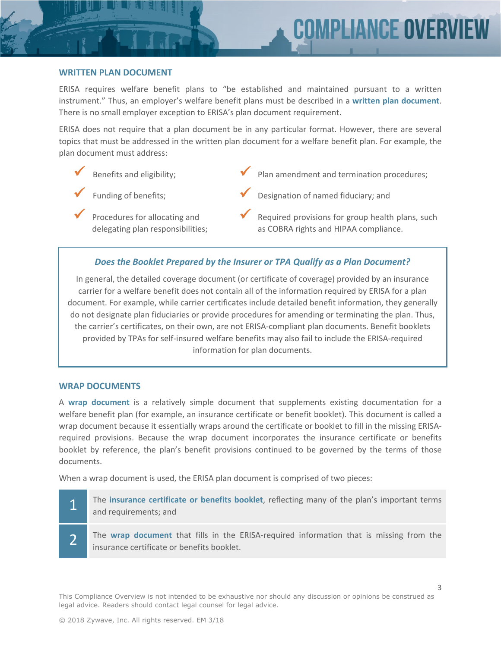#### **WRITTEN PLAN DOCUMENT**

ERISA requires welfare benefit plans to "be established and maintained pursuant to a written instrument." Thus, an employer's welfare benefit plans must be described in a **written plan document**. There is no small employer exception to ERISA's plan document requirement.

ERISA does not require that a plan document be in any particular format. However, there are several topics that must be addressed in the written plan document for a welfare benefit plan. For example, the plan document must address:

Benefits and eligibility;

Plan amendment and termination procedures;

- Funding of benefits;
- Procedures for allocating and delegating plan responsibilities;
- Designation of named fiduciary; and
- Required provisions for group health plans, such as COBRA rights and HIPAA compliance.

#### *Does the Booklet Prepared by the Insurer or TPA Qualify as a Plan Document?*

In general, the detailed coverage document (or certificate of coverage) provided by an insurance carrier for a welfare benefit does not contain all of the information required by ERISA for a plan document. For example, while carrier certificates include detailed benefit information, they generally do not designate plan fiduciaries or provide procedures for amending or terminating the plan. Thus, the carrier's certificates, on their own, are not ERISA-compliant plan documents. Benefit booklets provided by TPAs for self-insured welfare benefits may also fail to include the ERISA-required information for plan documents.

#### **WRAP DOCUMENTS**

A **wrap document** is a relatively simple document that supplements existing documentation for a welfare benefit plan (for example, an insurance certificate or benefit booklet). This document is called a wrap document because it essentially wraps around the certificate or booklet to fill in the missing ERISArequired provisions. Because the wrap document incorporates the insurance certificate or benefits booklet by reference, the plan's benefit provisions continued to be governed by the terms of those documents.

When a wrap document is used, the ERISA plan document is comprised of two pieces:

1

2

The **insurance certificate or benefits booklet**, reflecting many of the plan's important terms and requirements; and

The **wrap document** that fills in the ERISA-required information that is missing from the insurance certificate or benefits booklet.

This Compliance Overview is not intended to be exhaustive nor should any discussion or opinions be construed as legal advice. Readers should contact legal counsel for legal advice.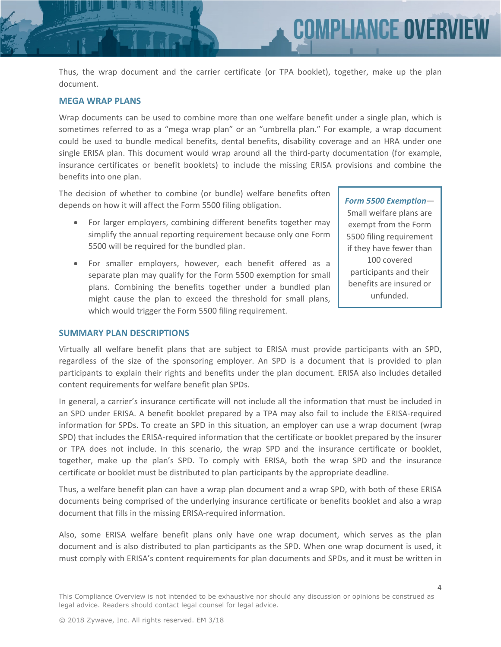#### **MEGA WRAP PLANS**

Wrap documents can be used to combine more than one welfare benefit under a single plan, which is sometimes referred to as a "mega wrap plan" or an "umbrella plan." For example, a wrap document could be used to bundle medical benefits, dental benefits, disability coverage and an HRA under one single ERISA plan. This document would wrap around all the third-party documentation (for example, insurance certificates or benefit booklets) to include the missing ERISA provisions and combine the benefits into one plan.

The decision of whether to combine (or bundle) welfare benefits often depends on how it will affect the Form 5500 filing obligation.

- For larger employers, combining different benefits together may simplify the annual reporting requirement because only one Form 5500 will be required for the bundled plan.
- For smaller employers, however, each benefit offered as a separate plan may qualify for the Form 5500 exemption for small plans. Combining the benefits together under a bundled plan might cause the plan to exceed the threshold for small plans, which would trigger the Form 5500 filing requirement.

#### **SUMMARY PLAN DESCRIPTIONS**

Virtually all welfare benefit plans that are subject to ERISA must provide participants with an SPD, regardless of the size of the sponsoring employer. An SPD is a document that is provided to plan participants to explain their rights and benefits under the plan document. ERISA also includes detailed content requirements for welfare benefit plan SPDs.

In general, a carrier's insurance certificate will not include all the information that must be included in an SPD under ERISA. A benefit booklet prepared by a TPA may also fail to include the ERISA-required information for SPDs. To create an SPD in this situation, an employer can use a wrap document (wrap SPD) that includes the ERISA-required information that the certificate or booklet prepared by the insurer or TPA does not include. In this scenario, the wrap SPD and the insurance certificate or booklet, together, make up the plan's SPD. To comply with ERISA, both the wrap SPD and the insurance certificate or booklet must be distributed to plan participants by the appropriate deadline.

Thus, a welfare benefit plan can have a wrap plan document and a wrap SPD, with both of these ERISA documents being comprised of the underlying insurance certificate or benefits booklet and also a wrap document that fills in the missing ERISA-required information.

Also, some ERISA welfare benefit plans only have one wrap document, which serves as the plan document and is also distributed to plan participants as the SPD. When one wrap document is used, it must comply with ERISA's content requirements for plan documents and SPDs, and it must be written in

*Form 5500 Exemption*— Small welfare plans are exempt from the Form 5500 filing requirement if they have fewer than 100 covered participants and their benefits are insured or unfunded.

COMPLIANCE OVERV

 $\Delta$